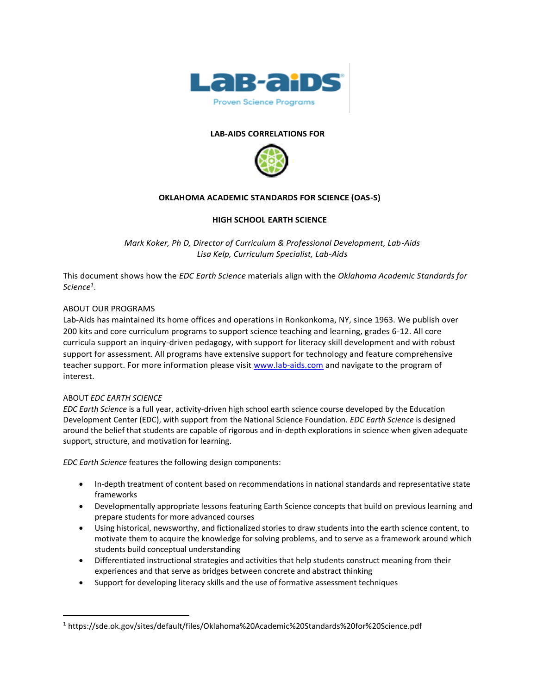

### **LAB-AIDS CORRELATIONS FOR**



### **OKLAHOMA ACADEMIC STANDARDS FOR SCIENCE (OAS-S)**

#### **HIGH SCHOOL EARTH SCIENCE**

*Mark Koker, Ph D, Director of Curriculum & Professional Development, Lab-Aids Lisa Kelp, Curriculum Specialist, Lab-Aids*

This document shows how the *EDC Earth Science* materials align with the *Oklahoma Academic Standards for Science<sup>1</sup>* .

#### ABOUT OUR PROGRAMS

Lab-Aids has maintained its home offices and operations in Ronkonkoma, NY, since 1963. We publish over 200 kits and core curriculum programs to support science teaching and learning, grades 6-12. All core curricula support an inquiry-driven pedagogy, with support for literacy skill development and with robust support for assessment. All programs have extensive support for technology and feature comprehensive teacher support. For more information please visit [www.lab-aids.com](http://www.lab-aids.com/) and navigate to the program of interest.

#### ABOUT *EDC EARTH SCIENCE*

*EDC Earth Science* is a full year, activity-driven high school earth science course developed by the Education Development Center (EDC), with support from the National Science Foundation. *EDC Earth Science* is designed around the belief that students are capable of rigorous and in-depth explorations in science when given adequate support, structure, and motivation for learning.

*EDC Earth Science* features the following design components:

- In-depth treatment of content based on recommendations in national standards and representative state frameworks
- Developmentally appropriate lessons featuring Earth Science concepts that build on previous learning and prepare students for more advanced courses
- Using historical, newsworthy, and fictionalized stories to draw students into the earth science content, to motivate them to acquire the knowledge for solving problems, and to serve as a framework around which students build conceptual understanding
- Differentiated instructional strategies and activities that help students construct meaning from their experiences and that serve as bridges between concrete and abstract thinking
- Support for developing literacy skills and the use of formative assessment techniques

<sup>1</sup> https://sde.ok.gov/sites/default/files/Oklahoma%20Academic%20Standards%20for%20Science.pdf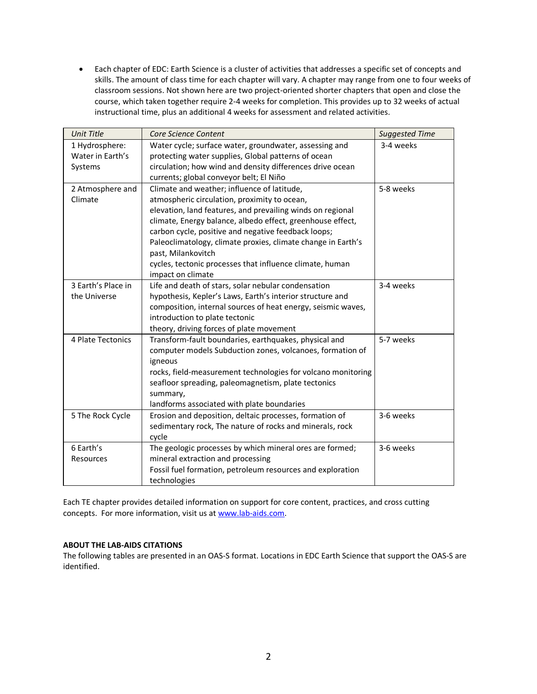• Each chapter of EDC: Earth Science is a cluster of activities that addresses a specific set of concepts and skills. The amount of class time for each chapter will vary. A chapter may range from one to four weeks of classroom sessions. Not shown here are two project-oriented shorter chapters that open and close the course, which taken together require 2-4 weeks for completion. This provides up to 32 weeks of actual instructional time, plus an additional 4 weeks for assessment and related activities.

| <b>Unit Title</b>             | Core Science Content                                                                                                                                                        | <b>Suggested Time</b> |
|-------------------------------|-----------------------------------------------------------------------------------------------------------------------------------------------------------------------------|-----------------------|
| 1 Hydrosphere:                | Water cycle; surface water, groundwater, assessing and                                                                                                                      | 3-4 weeks             |
| Water in Earth's              | protecting water supplies, Global patterns of ocean                                                                                                                         |                       |
| Systems                       | circulation; how wind and density differences drive ocean                                                                                                                   |                       |
|                               | currents; global conveyor belt; El Niño                                                                                                                                     |                       |
| 2 Atmosphere and              | Climate and weather; influence of latitude,                                                                                                                                 | 5-8 weeks             |
| Climate                       | atmospheric circulation, proximity to ocean,                                                                                                                                |                       |
|                               | elevation, land features, and prevailing winds on regional                                                                                                                  |                       |
|                               | climate, Energy balance, albedo effect, greenhouse effect,                                                                                                                  |                       |
|                               | carbon cycle, positive and negative feedback loops;                                                                                                                         |                       |
|                               | Paleoclimatology, climate proxies, climate change in Earth's                                                                                                                |                       |
|                               | past, Milankovitch                                                                                                                                                          |                       |
|                               | cycles, tectonic processes that influence climate, human                                                                                                                    |                       |
| 3 Earth's Place in            | impact on climate                                                                                                                                                           | 3-4 weeks             |
|                               | Life and death of stars, solar nebular condensation                                                                                                                         |                       |
| the Universe                  | hypothesis, Kepler's Laws, Earth's interior structure and                                                                                                                   |                       |
|                               | composition, internal sources of heat energy, seismic waves,                                                                                                                |                       |
|                               | introduction to plate tectonic                                                                                                                                              |                       |
|                               | theory, driving forces of plate movement                                                                                                                                    |                       |
| 4 Plate Tectonics             | Transform-fault boundaries, earthquakes, physical and                                                                                                                       | 5-7 weeks             |
|                               | computer models Subduction zones, volcanoes, formation of                                                                                                                   |                       |
|                               | igneous                                                                                                                                                                     |                       |
|                               | rocks, field-measurement technologies for volcano monitoring                                                                                                                |                       |
|                               | seafloor spreading, paleomagnetism, plate tectonics<br>summary,                                                                                                             |                       |
|                               | landforms associated with plate boundaries                                                                                                                                  |                       |
| 5 The Rock Cycle              | Erosion and deposition, deltaic processes, formation of                                                                                                                     | 3-6 weeks             |
|                               | sedimentary rock, The nature of rocks and minerals, rock                                                                                                                    |                       |
|                               | cycle                                                                                                                                                                       |                       |
|                               |                                                                                                                                                                             |                       |
|                               |                                                                                                                                                                             |                       |
|                               |                                                                                                                                                                             |                       |
|                               |                                                                                                                                                                             |                       |
| 6 Earth's<br><b>Resources</b> | The geologic processes by which mineral ores are formed;<br>mineral extraction and processing<br>Fossil fuel formation, petroleum resources and exploration<br>technologies | 3-6 weeks             |

Each TE chapter provides detailed information on support for core content, practices, and cross cutting concepts. For more information, visit us at [www.lab-aids.com.](http://www.lab-aids.com/)

## **ABOUT THE LAB-AIDS CITATIONS**

The following tables are presented in an OAS-S format. Locations in EDC Earth Science that support the OAS-S are identified.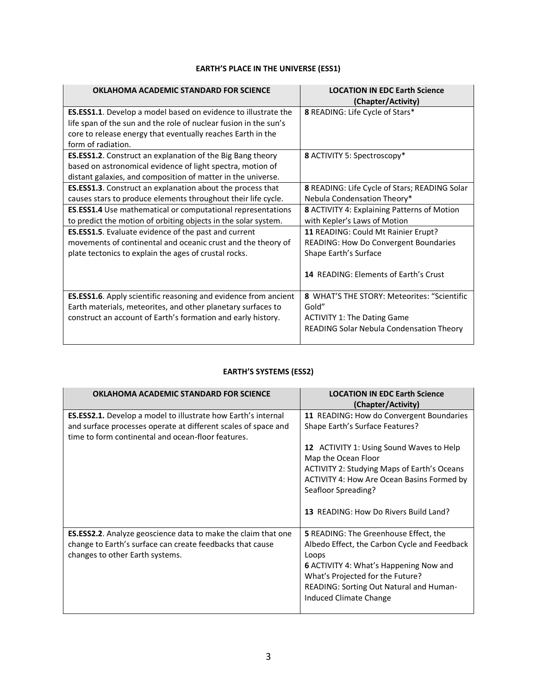# **EARTH'S PLACE IN THE UNIVERSE (ESS1)**

| OKLAHOMA ACADEMIC STANDARD FOR SCIENCE                             | <b>LOCATION IN EDC Earth Science</b><br>(Chapter/Activity) |
|--------------------------------------------------------------------|------------------------------------------------------------|
| ES.ESS1.1. Develop a model based on evidence to illustrate the     | 8 READING: Life Cycle of Stars*                            |
| life span of the sun and the role of nuclear fusion in the sun's   |                                                            |
| core to release energy that eventually reaches Earth in the        |                                                            |
| form of radiation.                                                 |                                                            |
| <b>ES.ESS1.2</b> . Construct an explanation of the Big Bang theory | 8 ACTIVITY 5: Spectroscopy*                                |
| based on astronomical evidence of light spectra, motion of         |                                                            |
| distant galaxies, and composition of matter in the universe.       |                                                            |
| <b>ES.ESS1.3</b> . Construct an explanation about the process that | 8 READING: Life Cycle of Stars; READING Solar              |
| causes stars to produce elements throughout their life cycle.      | Nebula Condensation Theory*                                |
| ES.ESS1.4 Use mathematical or computational representations        | <b>8</b> ACTIVITY 4: Explaining Patterns of Motion         |
| to predict the motion of orbiting objects in the solar system.     | with Kepler's Laws of Motion                               |
| <b>ES.ESS1.5</b> . Evaluate evidence of the past and current       | 11 READING: Could Mt Rainier Erupt?                        |
| movements of continental and oceanic crust and the theory of       | <b>READING: How Do Convergent Boundaries</b>               |
| plate tectonics to explain the ages of crustal rocks.              | Shape Earth's Surface                                      |
|                                                                    |                                                            |
|                                                                    | <b>14 READING: Elements of Earth's Crust</b>               |
|                                                                    |                                                            |
| ES.ESS1.6. Apply scientific reasoning and evidence from ancient    | 8 WHAT'S THE STORY: Meteorites: "Scientific                |
| Earth materials, meteorites, and other planetary surfaces to       | Gold"                                                      |
| construct an account of Earth's formation and early history.       | <b>ACTIVITY 1: The Dating Game</b>                         |
|                                                                    | READING Solar Nebula Condensation Theory                   |
|                                                                    |                                                            |

# **EARTH'S SYSTEMS (ESS2)**

| OKLAHOMA ACADEMIC STANDARD FOR SCIENCE                                                                                                                                                       | <b>LOCATION IN EDC Earth Science</b><br>(Chapter/Activity)                                                                                                                                                                                                      |
|----------------------------------------------------------------------------------------------------------------------------------------------------------------------------------------------|-----------------------------------------------------------------------------------------------------------------------------------------------------------------------------------------------------------------------------------------------------------------|
| <b>ES.ESS2.1.</b> Develop a model to illustrate how Earth's internal<br>and surface processes operate at different scales of space and<br>time to form continental and ocean-floor features. | 11 READING: How do Convergent Boundaries<br>Shape Earth's Surface Features?                                                                                                                                                                                     |
|                                                                                                                                                                                              | 12 ACTIVITY 1: Using Sound Waves to Help<br>Map the Ocean Floor<br>ACTIVITY 2: Studying Maps of Earth's Oceans<br>ACTIVITY 4: How Are Ocean Basins Formed by<br>Seafloor Spreading?<br>13 READING: How Do Rivers Build Land?                                    |
| <b>ES.ESS2.2.</b> Analyze geoscience data to make the claim that one<br>change to Earth's surface can create feedbacks that cause<br>changes to other Earth systems.                         | <b>5</b> READING: The Greenhouse Effect, the<br>Albedo Effect, the Carbon Cycle and Feedback<br>Loops<br><b>6 ACTIVITY 4: What's Happening Now and</b><br>What's Projected for the Future?<br>READING: Sorting Out Natural and Human-<br>Induced Climate Change |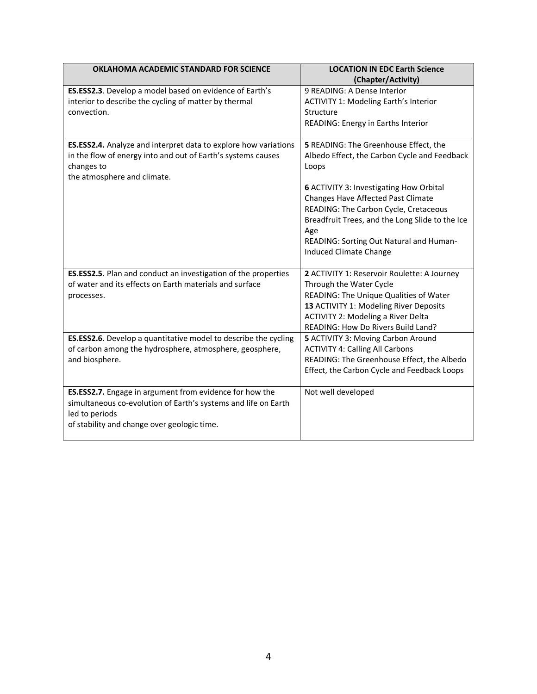| OKLAHOMA ACADEMIC STANDARD FOR SCIENCE                                                                                                                                                     | <b>LOCATION IN EDC Earth Science</b><br>(Chapter/Activity)                                                                                                                                                                                                                                                                                                     |
|--------------------------------------------------------------------------------------------------------------------------------------------------------------------------------------------|----------------------------------------------------------------------------------------------------------------------------------------------------------------------------------------------------------------------------------------------------------------------------------------------------------------------------------------------------------------|
| ES.ESS2.3. Develop a model based on evidence of Earth's<br>interior to describe the cycling of matter by thermal<br>convection.                                                            | 9 READING: A Dense Interior<br><b>ACTIVITY 1: Modeling Earth's Interior</b><br>Structure<br>READING: Energy in Earths Interior                                                                                                                                                                                                                                 |
| ES.ESS2.4. Analyze and interpret data to explore how variations<br>in the flow of energy into and out of Earth's systems causes<br>changes to<br>the atmosphere and climate.               | 5 READING: The Greenhouse Effect, the<br>Albedo Effect, the Carbon Cycle and Feedback<br>Loops<br>6 ACTIVITY 3: Investigating How Orbital<br>Changes Have Affected Past Climate<br>READING: The Carbon Cycle, Cretaceous<br>Breadfruit Trees, and the Long Slide to the Ice<br>Age<br>READING: Sorting Out Natural and Human-<br><b>Induced Climate Change</b> |
| ES.ESS2.5. Plan and conduct an investigation of the properties<br>of water and its effects on Earth materials and surface<br>processes.                                                    | 2 ACTIVITY 1: Reservoir Roulette: A Journey<br>Through the Water Cycle<br>READING: The Unique Qualities of Water<br>13 ACTIVITY 1: Modeling River Deposits<br><b>ACTIVITY 2: Modeling a River Delta</b><br>READING: How Do Rivers Build Land?                                                                                                                  |
| ES.ESS2.6. Develop a quantitative model to describe the cycling<br>of carbon among the hydrosphere, atmosphere, geosphere,<br>and biosphere.                                               | 5 ACTIVITY 3: Moving Carbon Around<br><b>ACTIVITY 4: Calling All Carbons</b><br>READING: The Greenhouse Effect, the Albedo<br>Effect, the Carbon Cycle and Feedback Loops                                                                                                                                                                                      |
| ES.ESS2.7. Engage in argument from evidence for how the<br>simultaneous co-evolution of Earth's systems and life on Earth<br>led to periods<br>of stability and change over geologic time. | Not well developed                                                                                                                                                                                                                                                                                                                                             |